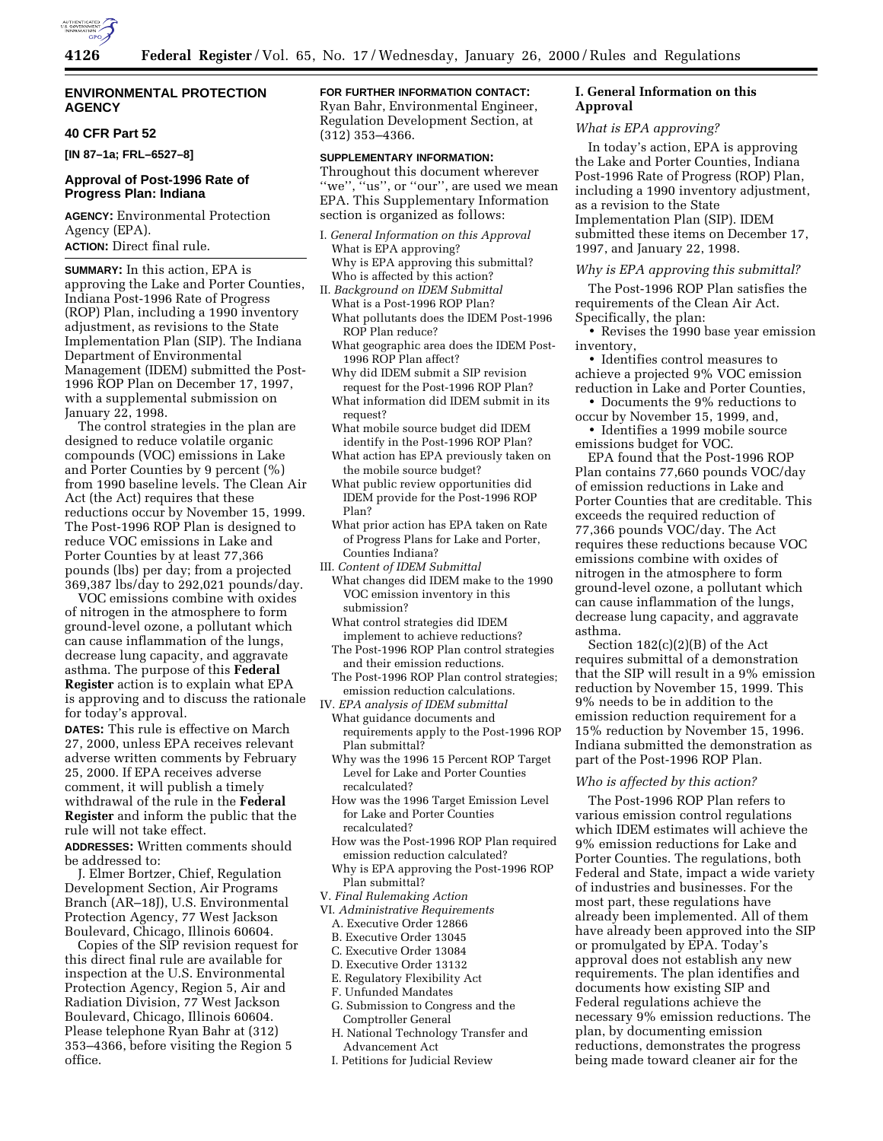

# **ENVIRONMENTAL PROTECTION AGENCY**

# **40 CFR Part 52**

**[IN 87–1a; FRL–6527–8]**

# **Approval of Post-1996 Rate of Progress Plan: Indiana**

**AGENCY:** Environmental Protection Agency (EPA). **ACTION:** Direct final rule.

**SUMMARY:** In this action, EPA is approving the Lake and Porter Counties, Indiana Post-1996 Rate of Progress (ROP) Plan, including a 1990 inventory adjustment, as revisions to the State Implementation Plan (SIP). The Indiana Department of Environmental Management (IDEM) submitted the Post-1996 ROP Plan on December 17, 1997, with a supplemental submission on January 22, 1998.

The control strategies in the plan are designed to reduce volatile organic compounds (VOC) emissions in Lake and Porter Counties by 9 percent (%) from 1990 baseline levels. The Clean Air Act (the Act) requires that these reductions occur by November 15, 1999. The Post-1996 ROP Plan is designed to reduce VOC emissions in Lake and Porter Counties by at least 77,366 pounds (lbs) per day; from a projected 369,387 lbs/day to 292,021 pounds/day.

VOC emissions combine with oxides of nitrogen in the atmosphere to form ground-level ozone, a pollutant which can cause inflammation of the lungs, decrease lung capacity, and aggravate asthma. The purpose of this **Federal Register** action is to explain what EPA is approving and to discuss the rationale for today's approval.

**DATES:** This rule is effective on March 27, 2000, unless EPA receives relevant adverse written comments by February 25, 2000. If EPA receives adverse comment, it will publish a timely withdrawal of the rule in the **Federal Register** and inform the public that the rule will not take effect.

**ADDRESSES:** Written comments should be addressed to:

J. Elmer Bortzer, Chief, Regulation Development Section, Air Programs Branch (AR–18J), U.S. Environmental Protection Agency, 77 West Jackson Boulevard, Chicago, Illinois 60604.

Copies of the SIP revision request for this direct final rule are available for inspection at the U.S. Environmental Protection Agency, Region 5, Air and Radiation Division, 77 West Jackson Boulevard, Chicago, Illinois 60604. Please telephone Ryan Bahr at (312) 353–4366, before visiting the Region 5 office.

**FOR FURTHER INFORMATION CONTACT:** Ryan Bahr, Environmental Engineer, Regulation Development Section, at (312) 353–4366.

# **SUPPLEMENTARY INFORMATION:**

Throughout this document wherever ''we'', ''us'', or ''our'', are used we mean EPA. This Supplementary Information section is organized as follows:

- I. *General Information on this Approval* What is EPA approving? Why is EPA approving this submittal? Who is affected by this action?
- II. *Background on IDEM Submittal* What is a Post-1996 ROP Plan?
	- What pollutants does the IDEM Post-1996 ROP Plan reduce?
	- What geographic area does the IDEM Post-1996 ROP Plan affect?
	- Why did IDEM submit a SIP revision request for the Post-1996 ROP Plan?
	- What information did IDEM submit in its request?
	- What mobile source budget did IDEM identify in the Post-1996 ROP Plan?
	- What action has EPA previously taken on the mobile source budget?
	- What public review opportunities did IDEM provide for the Post-1996 ROP Plan?
	- What prior action has EPA taken on Rate of Progress Plans for Lake and Porter, Counties Indiana?
- III. *Content of IDEM Submittal*
	- What changes did IDEM make to the 1990 VOC emission inventory in this submission?
	- What control strategies did IDEM implement to achieve reductions?
	- The Post-1996 ROP Plan control strategies and their emission reductions.
- The Post-1996 ROP Plan control strategies; emission reduction calculations.
- IV. *EPA analysis of IDEM submittal*
- What guidance documents and requirements apply to the Post-1996 ROP Plan submittal?
- Why was the 1996 15 Percent ROP Target Level for Lake and Porter Counties recalculated?
- How was the 1996 Target Emission Level for Lake and Porter Counties recalculated?
- How was the Post-1996 ROP Plan required emission reduction calculated?
- Why is EPA approving the Post-1996 ROP Plan submittal?
- V. *Final Rulemaking Action*
- VI. *Administrative Requirements*
	- A. Executive Order 12866
	- B. Executive Order 13045
	- C. Executive Order 13084
	- D. Executive Order 13132
	- E. Regulatory Flexibility Act
	- F. Unfunded Mandates
	- G. Submission to Congress and the Comptroller General
	- H. National Technology Transfer and Advancement Act
	- I. Petitions for Judicial Review

# **I. General Information on this Approval**

#### *What is EPA approving?*

In today's action, EPA is approving the Lake and Porter Counties, Indiana Post-1996 Rate of Progress (ROP) Plan, including a 1990 inventory adjustment, as a revision to the State Implementation Plan (SIP). IDEM submitted these items on December 17, 1997, and January 22, 1998.

### *Why is EPA approving this submittal?*

The Post-1996 ROP Plan satisfies the requirements of the Clean Air Act. Specifically, the plan:

• Revises the 1990 base year emission inventory,

• Identifies control measures to achieve a projected 9% VOC emission reduction in Lake and Porter Counties,

• Documents the 9% reductions to occur by November 15, 1999, and,

• Identifies a 1999 mobile source emissions budget for VOC.

EPA found that the Post-1996 ROP Plan contains 77,660 pounds VOC/day of emission reductions in Lake and Porter Counties that are creditable. This exceeds the required reduction of 77,366 pounds VOC/day. The Act requires these reductions because VOC emissions combine with oxides of nitrogen in the atmosphere to form ground-level ozone, a pollutant which can cause inflammation of the lungs, decrease lung capacity, and aggravate asthma.

Section 182(c)(2)(B) of the Act requires submittal of a demonstration that the SIP will result in a 9% emission reduction by November 15, 1999. This 9% needs to be in addition to the emission reduction requirement for a 15% reduction by November 15, 1996. Indiana submitted the demonstration as part of the Post-1996 ROP Plan.

### *Who is affected by this action?*

The Post-1996 ROP Plan refers to various emission control regulations which IDEM estimates will achieve the 9% emission reductions for Lake and Porter Counties. The regulations, both Federal and State, impact a wide variety of industries and businesses. For the most part, these regulations have already been implemented. All of them have already been approved into the SIP or promulgated by EPA. Today's approval does not establish any new requirements. The plan identifies and documents how existing SIP and Federal regulations achieve the necessary 9% emission reductions. The plan, by documenting emission reductions, demonstrates the progress being made toward cleaner air for the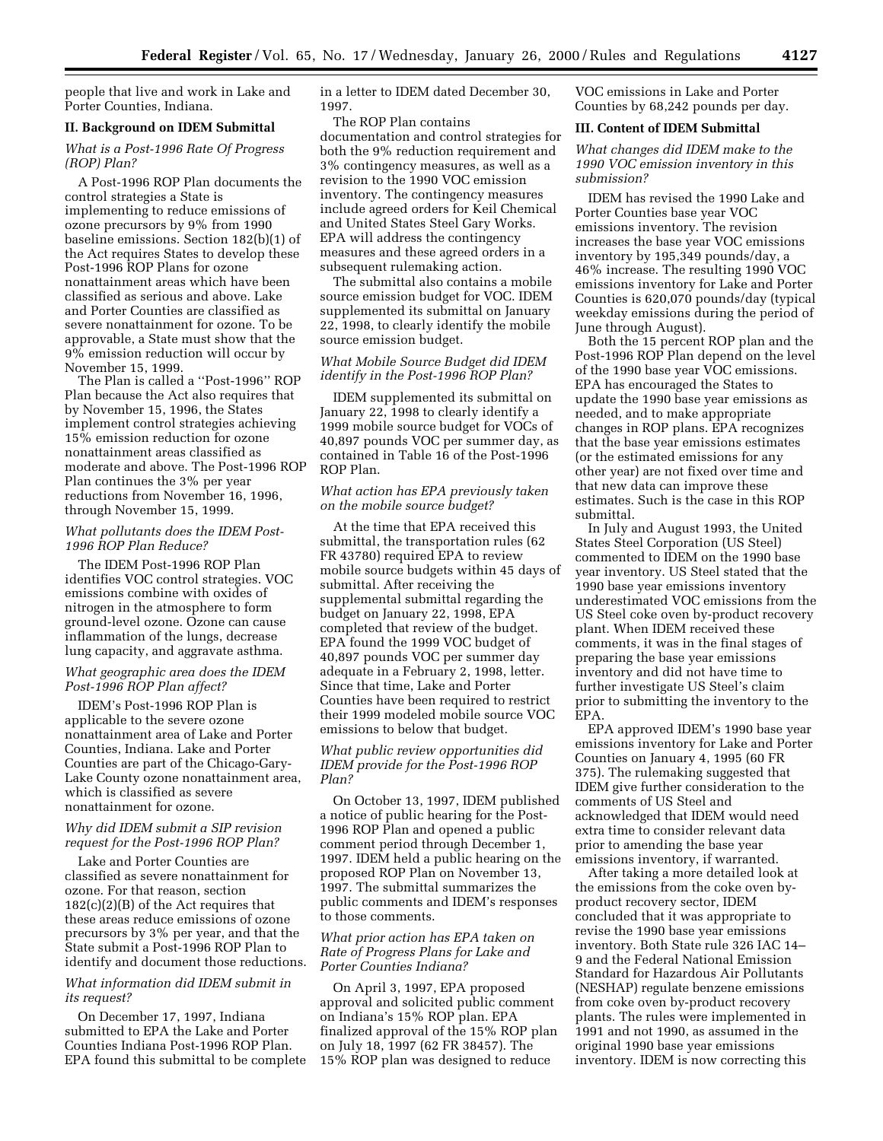people that live and work in Lake and Porter Counties, Indiana.

# **II. Background on IDEM Submittal**

# *What is a Post-1996 Rate Of Progress (ROP) Plan?*

A Post-1996 ROP Plan documents the control strategies a State is implementing to reduce emissions of ozone precursors by 9% from 1990 baseline emissions. Section 182(b)(1) of the Act requires States to develop these Post-1996 ROP Plans for ozone nonattainment areas which have been classified as serious and above. Lake and Porter Counties are classified as severe nonattainment for ozone. To be approvable, a State must show that the 9% emission reduction will occur by November 15, 1999.

The Plan is called a ''Post-1996'' ROP Plan because the Act also requires that by November 15, 1996, the States implement control strategies achieving 15% emission reduction for ozone nonattainment areas classified as moderate and above. The Post-1996 ROP Plan continues the 3% per year reductions from November 16, 1996, through November 15, 1999.

### *What pollutants does the IDEM Post-1996 ROP Plan Reduce?*

The IDEM Post-1996 ROP Plan identifies VOC control strategies. VOC emissions combine with oxides of nitrogen in the atmosphere to form ground-level ozone. Ozone can cause inflammation of the lungs, decrease lung capacity, and aggravate asthma.

# *What geographic area does the IDEM Post-1996 ROP Plan affect?*

IDEM's Post-1996 ROP Plan is applicable to the severe ozone nonattainment area of Lake and Porter Counties, Indiana. Lake and Porter Counties are part of the Chicago-Gary-Lake County ozone nonattainment area, which is classified as severe nonattainment for ozone.

# *Why did IDEM submit a SIP revision request for the Post-1996 ROP Plan?*

Lake and Porter Counties are classified as severe nonattainment for ozone. For that reason, section  $182(c)(2)(B)$  of the Act requires that these areas reduce emissions of ozone precursors by 3% per year, and that the State submit a Post-1996 ROP Plan to identify and document those reductions.

# *What information did IDEM submit in its request?*

On December 17, 1997, Indiana submitted to EPA the Lake and Porter Counties Indiana Post-1996 ROP Plan. EPA found this submittal to be complete in a letter to IDEM dated December 30, 1997.

The ROP Plan contains documentation and control strategies for both the 9% reduction requirement and 3% contingency measures, as well as a revision to the 1990 VOC emission inventory. The contingency measures include agreed orders for Keil Chemical and United States Steel Gary Works. EPA will address the contingency measures and these agreed orders in a subsequent rulemaking action.

The submittal also contains a mobile source emission budget for VOC. IDEM supplemented its submittal on January 22, 1998, to clearly identify the mobile source emission budget.

## *What Mobile Source Budget did IDEM identify in the Post-1996 ROP Plan?*

IDEM supplemented its submittal on January 22, 1998 to clearly identify a 1999 mobile source budget for VOCs of 40,897 pounds VOC per summer day, as contained in Table 16 of the Post-1996 ROP Plan.

# *What action has EPA previously taken on the mobile source budget?*

At the time that EPA received this submittal, the transportation rules (62 FR 43780) required EPA to review mobile source budgets within 45 days of submittal. After receiving the supplemental submittal regarding the budget on January 22, 1998, EPA completed that review of the budget. EPA found the 1999 VOC budget of 40,897 pounds VOC per summer day adequate in a February 2, 1998, letter. Since that time, Lake and Porter Counties have been required to restrict their 1999 modeled mobile source VOC emissions to below that budget.

### *What public review opportunities did IDEM provide for the Post-1996 ROP Plan?*

On October 13, 1997, IDEM published a notice of public hearing for the Post-1996 ROP Plan and opened a public comment period through December 1, 1997. IDEM held a public hearing on the proposed ROP Plan on November 13, 1997. The submittal summarizes the public comments and IDEM's responses to those comments.

# *What prior action has EPA taken on Rate of Progress Plans for Lake and Porter Counties Indiana?*

On April 3, 1997, EPA proposed approval and solicited public comment on Indiana's 15% ROP plan. EPA finalized approval of the 15% ROP plan on July 18, 1997 (62 FR 38457). The 15% ROP plan was designed to reduce

VOC emissions in Lake and Porter Counties by 68,242 pounds per day.

### **III. Content of IDEM Submittal**

*What changes did IDEM make to the 1990 VOC emission inventory in this submission?*

IDEM has revised the 1990 Lake and Porter Counties base year VOC emissions inventory. The revision increases the base year VOC emissions inventory by 195,349 pounds/day, a 46% increase. The resulting 1990 VOC emissions inventory for Lake and Porter Counties is 620,070 pounds/day (typical weekday emissions during the period of June through August).

Both the 15 percent ROP plan and the Post-1996 ROP Plan depend on the level of the 1990 base year VOC emissions. EPA has encouraged the States to update the 1990 base year emissions as needed, and to make appropriate changes in ROP plans. EPA recognizes that the base year emissions estimates (or the estimated emissions for any other year) are not fixed over time and that new data can improve these estimates. Such is the case in this ROP submittal.

In July and August 1993, the United States Steel Corporation (US Steel) commented to IDEM on the 1990 base year inventory. US Steel stated that the 1990 base year emissions inventory underestimated VOC emissions from the US Steel coke oven by-product recovery plant. When IDEM received these comments, it was in the final stages of preparing the base year emissions inventory and did not have time to further investigate US Steel's claim prior to submitting the inventory to the EPA.

EPA approved IDEM's 1990 base year emissions inventory for Lake and Porter Counties on January 4, 1995 (60 FR 375). The rulemaking suggested that IDEM give further consideration to the comments of US Steel and acknowledged that IDEM would need extra time to consider relevant data prior to amending the base year emissions inventory, if warranted.

After taking a more detailed look at the emissions from the coke oven byproduct recovery sector, IDEM concluded that it was appropriate to revise the 1990 base year emissions inventory. Both State rule 326 IAC 14– 9 and the Federal National Emission Standard for Hazardous Air Pollutants (NESHAP) regulate benzene emissions from coke oven by-product recovery plants. The rules were implemented in 1991 and not 1990, as assumed in the original 1990 base year emissions inventory. IDEM is now correcting this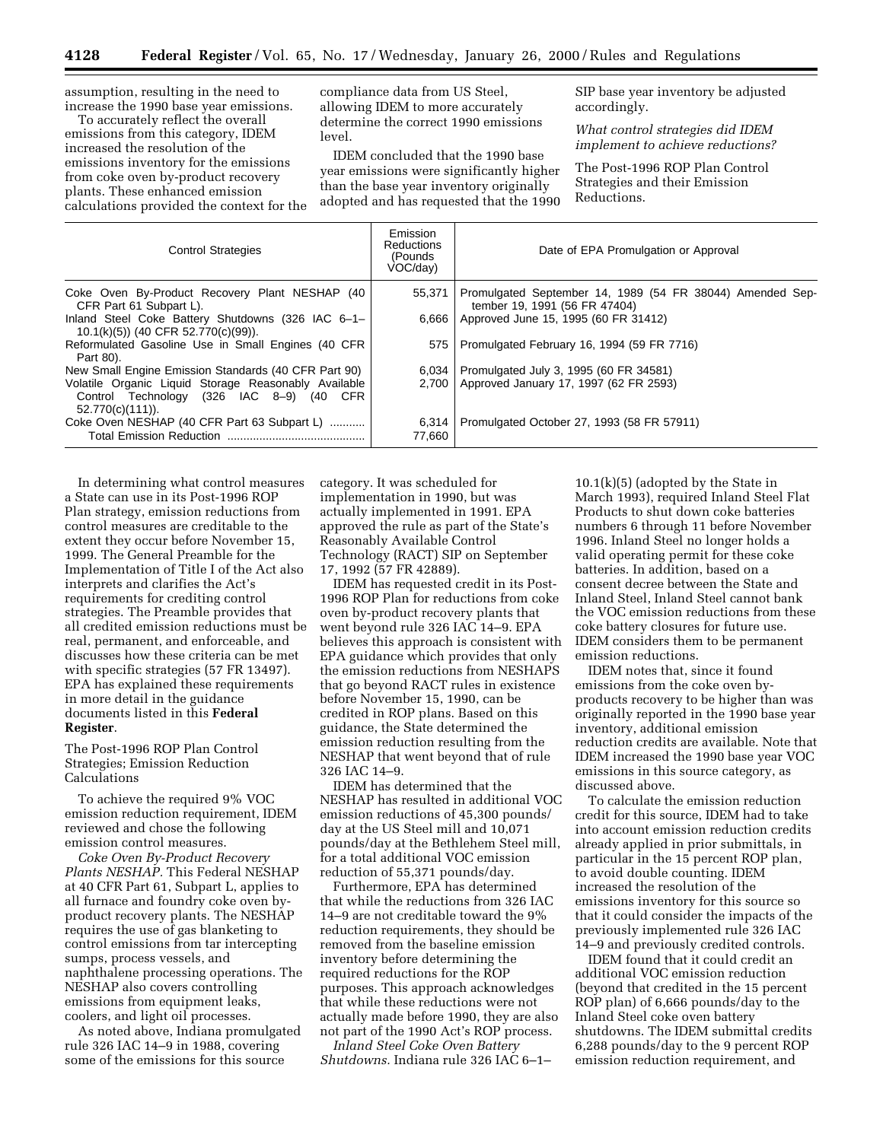assumption, resulting in the need to increase the 1990 base year emissions.

To accurately reflect the overall emissions from this category, IDEM increased the resolution of the emissions inventory for the emissions from coke oven by-product recovery plants. These enhanced emission calculations provided the context for the compliance data from US Steel, allowing IDEM to more accurately determine the correct 1990 emissions level.

IDEM concluded that the 1990 base year emissions were significantly higher than the base year inventory originally adopted and has requested that the 1990 SIP base year inventory be adjusted accordingly.

*What control strategies did IDEM implement to achieve reductions?*

The Post-1996 ROP Plan Control Strategies and their Emission Reductions.

| <b>Control Strategies</b>                                                                                           | Emission<br><b>Reductions</b><br>(Pounds<br>VOC/day | Date of EPA Promulgation or Approval                                                       |
|---------------------------------------------------------------------------------------------------------------------|-----------------------------------------------------|--------------------------------------------------------------------------------------------|
| Coke Oven By-Product Recovery Plant NESHAP (40<br>CFR Part 61 Subpart L).                                           | 55.371                                              | Promulgated September 14, 1989 (54 FR 38044) Amended Sep-<br>tember 19, 1991 (56 FR 47404) |
| Inland Steel Coke Battery Shutdowns (326 IAC 6-1-<br>10.1(k)(5)) (40 CFR 52.770(c)(99)).                            | 6.666                                               | Approved June 15, 1995 (60 FR 31412)                                                       |
| Reformulated Gasoline Use in Small Engines (40 CFR<br>Part 80).                                                     | 575                                                 | Promulgated February 16, 1994 (59 FR 7716)                                                 |
| New Small Engine Emission Standards (40 CFR Part 90)                                                                | 6.034                                               | Promulgated July 3, 1995 (60 FR 34581)                                                     |
| Volatile Organic Liquid Storage Reasonably Available<br>Control Technology (326 IAC 8-9) (40 CFR<br>52.770(c)(111). | 2.700                                               | Approved January 17, 1997 (62 FR 2593)                                                     |
| Coke Oven NESHAP (40 CFR Part 63 Subpart L)                                                                         | 6,314<br>77,660                                     | Promulgated October 27, 1993 (58 FR 57911)                                                 |

In determining what control measures a State can use in its Post-1996 ROP Plan strategy, emission reductions from control measures are creditable to the extent they occur before November 15, 1999. The General Preamble for the Implementation of Title I of the Act also interprets and clarifies the Act's requirements for crediting control strategies. The Preamble provides that all credited emission reductions must be real, permanent, and enforceable, and discusses how these criteria can be met with specific strategies (57 FR 13497). EPA has explained these requirements in more detail in the guidance documents listed in this **Federal Register**.

The Post-1996 ROP Plan Control Strategies; Emission Reduction Calculations

To achieve the required 9% VOC emission reduction requirement, IDEM reviewed and chose the following emission control measures.

*Coke Oven By-Product Recovery Plants NESHAP.* This Federal NESHAP at 40 CFR Part 61, Subpart L, applies to all furnace and foundry coke oven byproduct recovery plants. The NESHAP requires the use of gas blanketing to control emissions from tar intercepting sumps, process vessels, and naphthalene processing operations. The NESHAP also covers controlling emissions from equipment leaks, coolers, and light oil processes.

As noted above, Indiana promulgated rule 326 IAC 14–9 in 1988, covering some of the emissions for this source

category. It was scheduled for implementation in 1990, but was actually implemented in 1991. EPA approved the rule as part of the State's Reasonably Available Control Technology (RACT) SIP on September 17, 1992 (57 FR 42889).

IDEM has requested credit in its Post-1996 ROP Plan for reductions from coke oven by-product recovery plants that went beyond rule 326 IAC 14–9. EPA believes this approach is consistent with EPA guidance which provides that only the emission reductions from NESHAPS that go beyond RACT rules in existence before November 15, 1990, can be credited in ROP plans. Based on this guidance, the State determined the emission reduction resulting from the NESHAP that went beyond that of rule 326 IAC 14–9.

IDEM has determined that the NESHAP has resulted in additional VOC emission reductions of 45,300 pounds/ day at the US Steel mill and 10,071 pounds/day at the Bethlehem Steel mill, for a total additional VOC emission reduction of 55,371 pounds/day.

Furthermore, EPA has determined that while the reductions from 326 IAC 14–9 are not creditable toward the 9% reduction requirements, they should be removed from the baseline emission inventory before determining the required reductions for the ROP purposes. This approach acknowledges that while these reductions were not actually made before 1990, they are also not part of the 1990 Act's ROP process.

*Inland Steel Coke Oven Battery Shutdowns.* Indiana rule 326 IAC 6–1–

10.1(k)(5) (adopted by the State in March 1993), required Inland Steel Flat Products to shut down coke batteries numbers 6 through 11 before November 1996. Inland Steel no longer holds a valid operating permit for these coke batteries. In addition, based on a consent decree between the State and Inland Steel, Inland Steel cannot bank the VOC emission reductions from these coke battery closures for future use. IDEM considers them to be permanent emission reductions.

IDEM notes that, since it found emissions from the coke oven byproducts recovery to be higher than was originally reported in the 1990 base year inventory, additional emission reduction credits are available. Note that IDEM increased the 1990 base year VOC emissions in this source category, as discussed above.

To calculate the emission reduction credit for this source, IDEM had to take into account emission reduction credits already applied in prior submittals, in particular in the 15 percent ROP plan, to avoid double counting. IDEM increased the resolution of the emissions inventory for this source so that it could consider the impacts of the previously implemented rule 326 IAC 14–9 and previously credited controls.

IDEM found that it could credit an additional VOC emission reduction (beyond that credited in the 15 percent ROP plan) of 6,666 pounds/day to the Inland Steel coke oven battery shutdowns. The IDEM submittal credits 6,288 pounds/day to the 9 percent ROP emission reduction requirement, and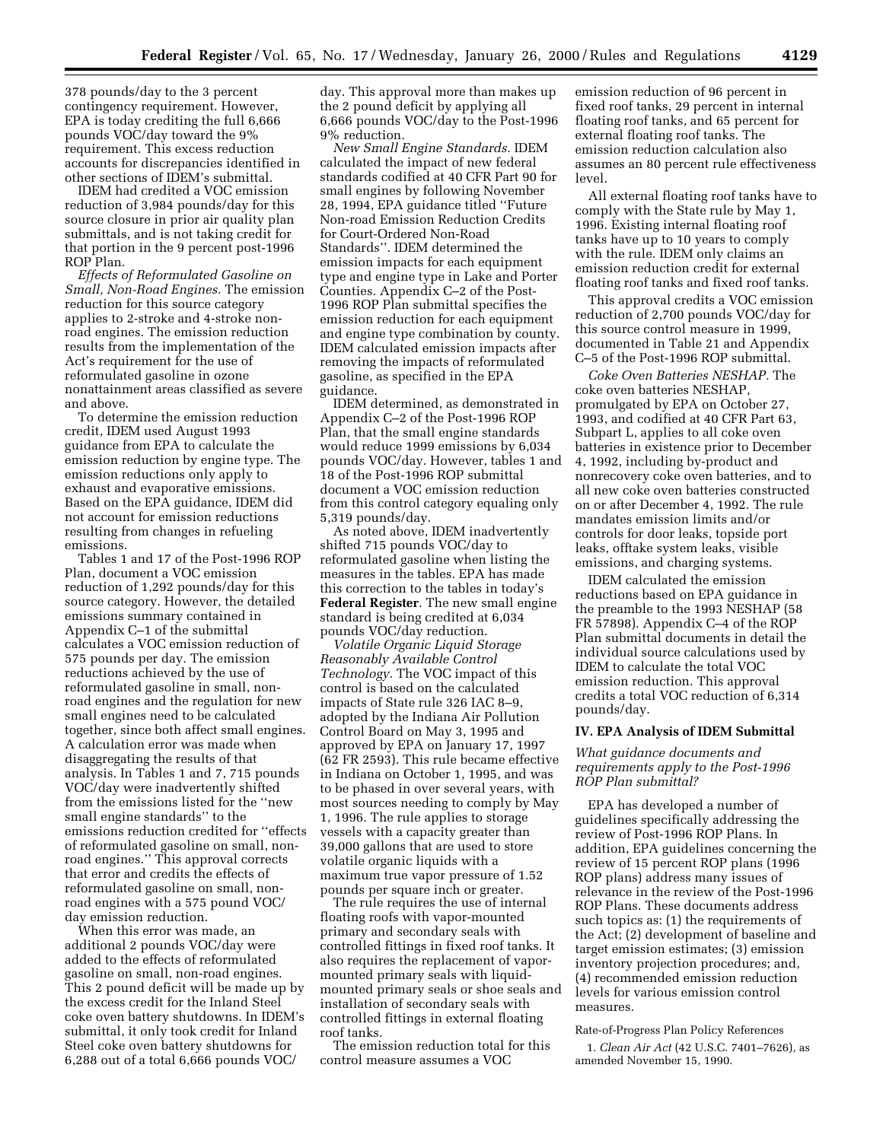378 pounds/day to the 3 percent contingency requirement. However, EPA is today crediting the full 6,666 pounds VOC/day toward the 9% requirement. This excess reduction accounts for discrepancies identified in other sections of IDEM's submittal.

IDEM had credited a VOC emission reduction of 3,984 pounds/day for this source closure in prior air quality plan submittals, and is not taking credit for that portion in the 9 percent post-1996 ROP Plan.

*Effects of Reformulated Gasoline on Small, Non-Road Engines.* The emission reduction for this source category applies to 2-stroke and 4-stroke nonroad engines. The emission reduction results from the implementation of the Act's requirement for the use of reformulated gasoline in ozone nonattainment areas classified as severe and above.

To determine the emission reduction credit, IDEM used August 1993 guidance from EPA to calculate the emission reduction by engine type. The emission reductions only apply to exhaust and evaporative emissions. Based on the EPA guidance, IDEM did not account for emission reductions resulting from changes in refueling emissions.

Tables 1 and 17 of the Post-1996 ROP Plan, document a VOC emission reduction of 1,292 pounds/day for this source category. However, the detailed emissions summary contained in Appendix C–1 of the submittal calculates a VOC emission reduction of 575 pounds per day. The emission reductions achieved by the use of reformulated gasoline in small, nonroad engines and the regulation for new small engines need to be calculated together, since both affect small engines. A calculation error was made when disaggregating the results of that analysis. In Tables 1 and 7, 715 pounds VOC/day were inadvertently shifted from the emissions listed for the ''new small engine standards'' to the emissions reduction credited for ''effects of reformulated gasoline on small, nonroad engines.'' This approval corrects that error and credits the effects of reformulated gasoline on small, nonroad engines with a 575 pound VOC/ day emission reduction.

When this error was made, an additional 2 pounds VOC/day were added to the effects of reformulated gasoline on small, non-road engines. This 2 pound deficit will be made up by the excess credit for the Inland Steel coke oven battery shutdowns. In IDEM's submittal, it only took credit for Inland Steel coke oven battery shutdowns for 6,288 out of a total 6,666 pounds VOC/

day. This approval more than makes up the 2 pound deficit by applying all 6,666 pounds VOC/day to the Post-1996 9% reduction.

*New Small Engine Standards.* IDEM calculated the impact of new federal standards codified at 40 CFR Part 90 for small engines by following November 28, 1994, EPA guidance titled ''Future Non-road Emission Reduction Credits for Court-Ordered Non-Road Standards''. IDEM determined the emission impacts for each equipment type and engine type in Lake and Porter Counties. Appendix C–2 of the Post-1996 ROP Plan submittal specifies the emission reduction for each equipment and engine type combination by county. IDEM calculated emission impacts after removing the impacts of reformulated gasoline, as specified in the EPA guidance.

IDEM determined, as demonstrated in Appendix C–2 of the Post-1996 ROP Plan, that the small engine standards would reduce 1999 emissions by 6,034 pounds VOC/day. However, tables 1 and 18 of the Post-1996 ROP submittal document a VOC emission reduction from this control category equaling only 5,319 pounds/day.

As noted above, IDEM inadvertently shifted 715 pounds VOC/day to reformulated gasoline when listing the measures in the tables. EPA has made this correction to the tables in today's **Federal Register**. The new small engine standard is being credited at 6,034 pounds VOC/day reduction.

*Volatile Organic Liquid Storage Reasonably Available Control Technology.* The VOC impact of this control is based on the calculated impacts of State rule 326 IAC 8–9, adopted by the Indiana Air Pollution Control Board on May 3, 1995 and approved by EPA on January 17, 1997 (62 FR 2593). This rule became effective in Indiana on October 1, 1995, and was to be phased in over several years, with most sources needing to comply by May 1, 1996. The rule applies to storage vessels with a capacity greater than 39,000 gallons that are used to store volatile organic liquids with a maximum true vapor pressure of 1.52 pounds per square inch or greater.

The rule requires the use of internal floating roofs with vapor-mounted primary and secondary seals with controlled fittings in fixed roof tanks. It also requires the replacement of vapormounted primary seals with liquidmounted primary seals or shoe seals and installation of secondary seals with controlled fittings in external floating roof tanks.

The emission reduction total for this control measure assumes a VOC

emission reduction of 96 percent in fixed roof tanks, 29 percent in internal floating roof tanks, and 65 percent for external floating roof tanks. The emission reduction calculation also assumes an 80 percent rule effectiveness level.

All external floating roof tanks have to comply with the State rule by May 1, 1996. Existing internal floating roof tanks have up to 10 years to comply with the rule. IDEM only claims an emission reduction credit for external floating roof tanks and fixed roof tanks.

This approval credits a VOC emission reduction of 2,700 pounds VOC/day for this source control measure in 1999, documented in Table 21 and Appendix C–5 of the Post-1996 ROP submittal.

*Coke Oven Batteries NESHAP.* The coke oven batteries NESHAP, promulgated by EPA on October 27, 1993, and codified at 40 CFR Part 63, Subpart L, applies to all coke oven batteries in existence prior to December 4, 1992, including by-product and nonrecovery coke oven batteries, and to all new coke oven batteries constructed on or after December 4, 1992. The rule mandates emission limits and/or controls for door leaks, topside port leaks, offtake system leaks, visible emissions, and charging systems.

IDEM calculated the emission reductions based on EPA guidance in the preamble to the 1993 NESHAP (58 FR 57898). Appendix C–4 of the ROP Plan submittal documents in detail the individual source calculations used by IDEM to calculate the total VOC emission reduction. This approval credits a total VOC reduction of 6,314 pounds/day.

#### **IV. EPA Analysis of IDEM Submittal**

*What guidance documents and requirements apply to the Post-1996 ROP Plan submittal?*

EPA has developed a number of guidelines specifically addressing the review of Post-1996 ROP Plans. In addition, EPA guidelines concerning the review of 15 percent ROP plans (1996 ROP plans) address many issues of relevance in the review of the Post-1996 ROP Plans. These documents address such topics as: (1) the requirements of the Act; (2) development of baseline and target emission estimates; (3) emission inventory projection procedures; and, (4) recommended emission reduction levels for various emission control measures.

Rate-of-Progress Plan Policy References

1. *Clean Air Act* (42 U.S.C. 7401–7626), as amended November 15, 1990.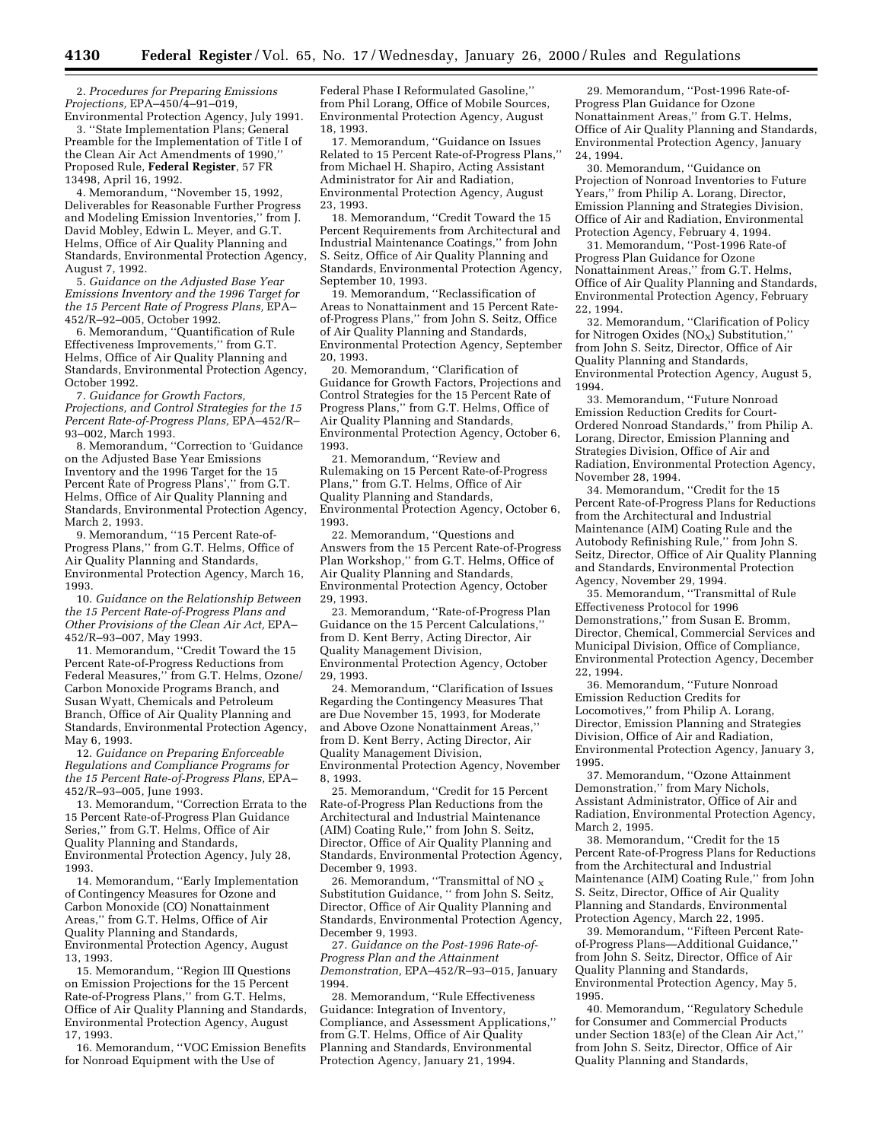2. *Procedures for Preparing Emissions Projections,* EPA–450/4–91–019, Environmental Protection Agency, July 1991.

3. ''State Implementation Plans; General Preamble for the Implementation of Title I of the Clean Air Act Amendments of 1990,'' Proposed Rule, **Federal Register**, 57 FR 13498, April 16, 1992.

4. Memorandum, ''November 15, 1992, Deliverables for Reasonable Further Progress and Modeling Emission Inventories,'' from J. David Mobley, Edwin L. Meyer, and G.T. Helms, Office of Air Quality Planning and Standards, Environmental Protection Agency, August 7, 1992.

5. *Guidance on the Adjusted Base Year Emissions Inventory and the 1996 Target for the 15 Percent Rate of Progress Plans,* EPA– 452/R–92–005, October 1992.

6. Memorandum, ''Quantification of Rule Effectiveness Improvements,'' from G.T. Helms, Office of Air Quality Planning and Standards, Environmental Protection Agency, October 1992.

7. *Guidance for Growth Factors, Projections, and Control Strategies for the 15 Percent Rate-of-Progress Plans,* EPA–452/R– 93–002, March 1993.

8. Memorandum, ''Correction to 'Guidance on the Adjusted Base Year Emissions Inventory and the 1996 Target for the 15 Percent Rate of Progress Plans','' from G.T. Helms, Office of Air Quality Planning and Standards, Environmental Protection Agency, March 2, 1993.

9. Memorandum, ''15 Percent Rate-of-Progress Plans,'' from G.T. Helms, Office of Air Quality Planning and Standards, Environmental Protection Agency, March 16, 1993.

10. *Guidance on the Relationship Between the 15 Percent Rate-of-Progress Plans and Other Provisions of the Clean Air Act,* EPA– 452/R–93–007, May 1993.

11. Memorandum, ''Credit Toward the 15 Percent Rate-of-Progress Reductions from Federal Measures,'' from G.T. Helms, Ozone/ Carbon Monoxide Programs Branch, and Susan Wyatt, Chemicals and Petroleum Branch, Office of Air Quality Planning and Standards, Environmental Protection Agency, May 6, 1993.

12. *Guidance on Preparing Enforceable Regulations and Compliance Programs for the 15 Percent Rate-of-Progress Plans,* EPA– 452/R–93–005, June 1993.

13. Memorandum, ''Correction Errata to the 15 Percent Rate-of-Progress Plan Guidance Series,'' from G.T. Helms, Office of Air Quality Planning and Standards, Environmental Protection Agency, July 28, 1993.

14. Memorandum, ''Early Implementation of Contingency Measures for Ozone and Carbon Monoxide (CO) Nonattainment Areas,'' from G.T. Helms, Office of Air Quality Planning and Standards, Environmental Protection Agency, August 13, 1993.

15. Memorandum, ''Region III Questions on Emission Projections for the 15 Percent Rate-of-Progress Plans,'' from G.T. Helms, Office of Air Quality Planning and Standards, Environmental Protection Agency, August 17, 1993.

16. Memorandum, ''VOC Emission Benefits for Nonroad Equipment with the Use of

Federal Phase I Reformulated Gasoline,'' from Phil Lorang, Office of Mobile Sources, Environmental Protection Agency, August 18, 1993.

17. Memorandum, ''Guidance on Issues Related to 15 Percent Rate-of-Progress Plans,'' from Michael H. Shapiro, Acting Assistant Administrator for Air and Radiation, Environmental Protection Agency, August 23, 1993.

18. Memorandum, ''Credit Toward the 15 Percent Requirements from Architectural and Industrial Maintenance Coatings,'' from John S. Seitz, Office of Air Quality Planning and Standards, Environmental Protection Agency, September 10, 1993.

19. Memorandum, ''Reclassification of Areas to Nonattainment and 15 Percent Rateof-Progress Plans,'' from John S. Seitz, Office of Air Quality Planning and Standards, Environmental Protection Agency, September 20, 1993.

20. Memorandum, ''Clarification of Guidance for Growth Factors, Projections and Control Strategies for the 15 Percent Rate of Progress Plans,'' from G.T. Helms, Office of Air Quality Planning and Standards, Environmental Protection Agency, October 6, 1993.

21. Memorandum, ''Review and Rulemaking on 15 Percent Rate-of-Progress Plans,'' from G.T. Helms, Office of Air Quality Planning and Standards, Environmental Protection Agency, October 6, 1993.

22. Memorandum, ''Questions and Answers from the 15 Percent Rate-of-Progress Plan Workshop,'' from G.T. Helms, Office of Air Quality Planning and Standards, Environmental Protection Agency, October 29, 1993.

23. Memorandum, ''Rate-of-Progress Plan Guidance on the 15 Percent Calculations,'' from D. Kent Berry, Acting Director, Air Quality Management Division, Environmental Protection Agency, October 29, 1993.

24. Memorandum, ''Clarification of Issues Regarding the Contingency Measures That are Due November 15, 1993, for Moderate and Above Ozone Nonattainment Areas,'' from D. Kent Berry, Acting Director, Air Quality Management Division, Environmental Protection Agency, November 8, 1993.

25. Memorandum, ''Credit for 15 Percent Rate-of-Progress Plan Reductions from the Architectural and Industrial Maintenance (AIM) Coating Rule,'' from John S. Seitz, Director, Office of Air Quality Planning and Standards, Environmental Protection Agency, December 9, 1993.

26. Memorandum, "Transmittal of NO  $_{\rm X}$ Substitution Guidance, '' from John S. Seitz, Director, Office of Air Quality Planning and Standards, Environmental Protection Agency, December 9, 1993.

27. *Guidance on the Post-1996 Rate-of-Progress Plan and the Attainment Demonstration,* EPA–452/R–93–015, January 1994.

28. Memorandum, ''Rule Effectiveness Guidance: Integration of Inventory, Compliance, and Assessment Applications,'' from G.T. Helms, Office of Air Quality Planning and Standards, Environmental Protection Agency, January 21, 1994.

29. Memorandum, ''Post-1996 Rate-of-Progress Plan Guidance for Ozone Nonattainment Areas,'' from G.T. Helms, Office of Air Quality Planning and Standards, Environmental Protection Agency, January 24, 1994.

30. Memorandum, ''Guidance on Projection of Nonroad Inventories to Future Years,'' from Philip A. Lorang, Director, Emission Planning and Strategies Division, Office of Air and Radiation, Environmental Protection Agency, February 4, 1994.

31. Memorandum, ''Post-1996 Rate-of Progress Plan Guidance for Ozone Nonattainment Areas,'' from G.T. Helms, Office of Air Quality Planning and Standards, Environmental Protection Agency, February 22, 1994.

32. Memorandum, ''Clarification of Policy for Nitrogen Oxides  $(NO_X)$  Substitution, from John S. Seitz, Director, Office of Air Quality Planning and Standards, Environmental Protection Agency, August 5, 1994.

33. Memorandum, ''Future Nonroad Emission Reduction Credits for Court-Ordered Nonroad Standards,'' from Philip A. Lorang, Director, Emission Planning and Strategies Division, Office of Air and Radiation, Environmental Protection Agency, November 28, 1994.

34. Memorandum, ''Credit for the 15 Percent Rate-of-Progress Plans for Reductions from the Architectural and Industrial Maintenance (AIM) Coating Rule and the Autobody Refinishing Rule,'' from John S. Seitz, Director, Office of Air Quality Planning and Standards, Environmental Protection Agency, November 29, 1994.

35. Memorandum, ''Transmittal of Rule Effectiveness Protocol for 1996 Demonstrations,'' from Susan E. Bromm, Director, Chemical, Commercial Services and Municipal Division, Office of Compliance, Environmental Protection Agency, December 22, 1994.

36. Memorandum, ''Future Nonroad Emission Reduction Credits for Locomotives,'' from Philip A. Lorang, Director, Emission Planning and Strategies Division, Office of Air and Radiation, Environmental Protection Agency, January 3, 1995.

37. Memorandum, ''Ozone Attainment Demonstration,'' from Mary Nichols, Assistant Administrator, Office of Air and Radiation, Environmental Protection Agency, March 2, 1995.

38. Memorandum, ''Credit for the 15 Percent Rate-of-Progress Plans for Reductions from the Architectural and Industrial Maintenance (AIM) Coating Rule,'' from John S. Seitz, Director, Office of Air Quality Planning and Standards, Environmental Protection Agency, March 22, 1995.

39. Memorandum, ''Fifteen Percent Rateof-Progress Plans—Additional Guidance,'' from John S. Seitz, Director, Office of Air Quality Planning and Standards, Environmental Protection Agency, May 5, 1995.

40. Memorandum, ''Regulatory Schedule for Consumer and Commercial Products under Section 183(e) of the Clean Air Act,'' from John S. Seitz, Director, Office of Air Quality Planning and Standards,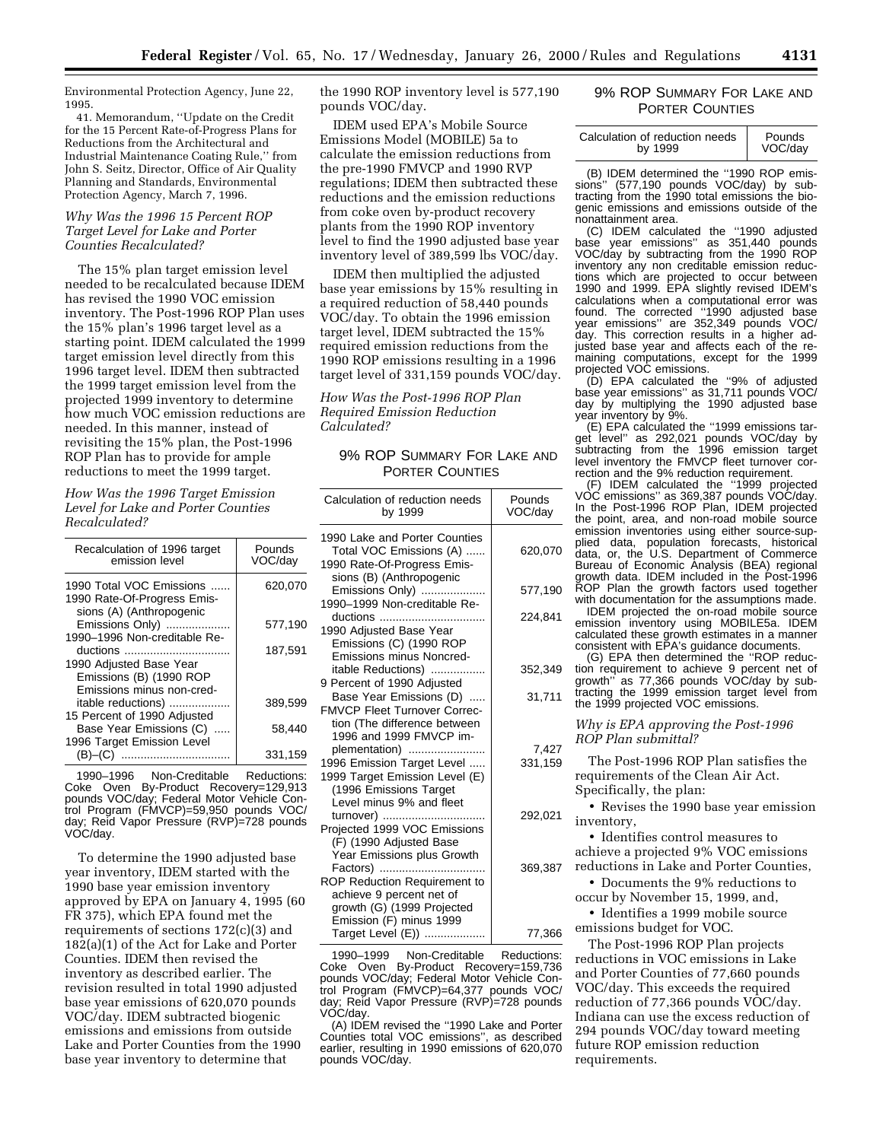Environmental Protection Agency, June 22, 1995.

41. Memorandum, ''Update on the Credit for the 15 Percent Rate-of-Progress Plans for Reductions from the Architectural and Industrial Maintenance Coating Rule,'' from John S. Seitz, Director, Office of Air Quality Planning and Standards, Environmental Protection Agency, March 7, 1996.

# *Why Was the 1996 15 Percent ROP Target Level for Lake and Porter Counties Recalculated?*

The 15% plan target emission level needed to be recalculated because IDEM has revised the 1990 VOC emission inventory. The Post-1996 ROP Plan uses the 15% plan's 1996 target level as a starting point. IDEM calculated the 1999 target emission level directly from this 1996 target level. IDEM then subtracted the 1999 target emission level from the projected 1999 inventory to determine how much VOC emission reductions are needed. In this manner, instead of revisiting the 15% plan, the Post-1996 ROP Plan has to provide for ample reductions to meet the 1999 target.

*How Was the 1996 Target Emission Level for Lake and Porter Counties Recalculated?*

| Recalculation of 1996 target<br>emission level                                      | Pounds<br>VOC/day |
|-------------------------------------------------------------------------------------|-------------------|
| 1990 Total VOC Emissions<br>1990 Rate-Of-Progress Emis-<br>sions (A) (Anthropogenic | 620,070           |
| Emissions Only)<br>1990-1996 Non-creditable Re-                                     | 577,190           |
| ductions<br>1990 Adjusted Base Year                                                 | 187.591           |
| Emissions (B) (1990 ROP<br>Emissions minus non-cred-                                |                   |
| itable reductions)<br>15 Percent of 1990 Adjusted                                   | 389,599           |
| Base Year Emissions (C)<br>1996 Target Emission Level                               | 58.440            |
| (B)–(C)<br>                                                                         | 331.159           |

1990–1996 Non-Creditable Reductions: Coke Oven By-Product Recovery=129,913 pounds VOC/day; Federal Motor Vehicle Control Program (FMVCP)=59,950 pounds VOC/ day; Reid Vapor Pressure (RVP)=728 pounds VOC/day.

To determine the 1990 adjusted base year inventory, IDEM started with the 1990 base year emission inventory approved by EPA on January 4, 1995 (60 FR 375), which EPA found met the requirements of sections 172(c)(3) and 182(a)(1) of the Act for Lake and Porter Counties. IDEM then revised the inventory as described earlier. The revision resulted in total 1990 adjusted base year emissions of 620,070 pounds VOC/day. IDEM subtracted biogenic emissions and emissions from outside Lake and Porter Counties from the 1990 base year inventory to determine that

the 1990 ROP inventory level is 577,190 pounds VOC/day.

IDEM used EPA's Mobile Source Emissions Model (MOBILE) 5a to calculate the emission reductions from the pre-1990 FMVCP and 1990 RVP regulations; IDEM then subtracted these reductions and the emission reductions from coke oven by-product recovery plants from the 1990 ROP inventory level to find the 1990 adjusted base year inventory level of 389,599 lbs VOC/day.

IDEM then multiplied the adjusted base year emissions by 15% resulting in a required reduction of 58,440 pounds VOC/day. To obtain the 1996 emission target level, IDEM subtracted the 15% required emission reductions from the 1990 ROP emissions resulting in a 1996 target level of 331,159 pounds VOC/day.

*How Was the Post-1996 ROP Plan Required Emission Reduction Calculated?*

# 9% ROP SUMMARY FOR LAKE AND PORTER COUNTIES

| Calculation of reduction needs<br>by 1999                                                                                                               | Pounds<br>VOC/day |
|---------------------------------------------------------------------------------------------------------------------------------------------------------|-------------------|
| 1990 Lake and Porter Counties<br>Total VOC Emissions (A)<br>1990 Rate-Of-Progress Emis-                                                                 | 620,070           |
| sions (B) (Anthropogenic<br>Emissions Only)<br>1990-1999 Non-creditable Re-                                                                             | 577,190           |
| ductions<br>1990 Adjusted Base Year<br>Emissions (C) (1990 ROP<br>Emissions minus Noncred-                                                              | 224,841           |
| itable Reductions)                                                                                                                                      | 352,349           |
| 9 Percent of 1990 Adjusted<br>Base Year Emissions (D)<br><b>FMVCP Fleet Turnover Correc-</b><br>tion (The difference between<br>1996 and 1999 FMVCP im- | 31,711            |
| plementation)<br>1996 Emission Target Level<br>1999 Target Emission Level (E)<br>(1996 Emissions Target<br>Level minus 9% and fleet                     | 7,427<br>331,159  |
| turnover)<br>Projected 1999 VOC Emissions<br>(F) (1990 Adjusted Base<br>Year Emissions plus Growth                                                      | 292,021           |
| Factors)<br>ROP Reduction Requirement to<br>achieve 9 percent net of<br>growth (G) (1999 Projected                                                      | 369,387           |
| Emission (F) minus 1999<br>Target Level (E))                                                                                                            | 77,366            |

1990–1999 Non-Creditable Reductions: Coke Oven By-Product Recovery=159,736 pounds VOC/day; Federal Motor Vehicle Control Program (FMVCP)=64,377 pounds VOC/ day; Reid Vapor Pressure (RVP)=728 pounds VOC/day.

(A) IDEM revised the ''1990 Lake and Porter Counties total VOC emissions'', as described earlier, resulting in 1990 emissions of 620,070 pounds VOC/day.

# 9% ROP SUMMARY FOR LAKE AND PORTER COUNTIES

| Calculation of reduction needs<br>by 1999 | Pounds<br>VOC/day |
|-------------------------------------------|-------------------|
|                                           |                   |

(B) IDEM determined the ''1990 ROP emissions" (577,190 pounds VOC/day) by subtracting from the 1990 total emissions the biogenic emissions and emissions outside of the nonattainment area.

(C) IDEM calculated the ''1990 adjusted base year emissions'' as 351,440 pounds VOC/day by subtracting from the 1990 ROP inventory any non creditable emission reductions which are projected to occur between 1990 and 1999. EPA slightly revised IDEM's calculations when a computational error was found. The corrected ''1990 adjusted base year emissions'' are 352,349 pounds VOC/ day. This correction results in a higher adjusted base year and affects each of the remaining computations, except for the 1999 projected VOC emissions.

(D) EPA calculated the ''9% of adjusted base year emissions'' as 31,711 pounds VOC/ day by multiplying the 1990 adjusted base year inventory by 9%.

(E) EPA calculated the ''1999 emissions target level'' as 292,021 pounds VOC/day by subtracting from the 1996 emission target level inventory the FMVCP fleet turnover correction and the 9% reduction requirement.

(F) IDEM calculated the ''1999 projected VOC emissions'' as 369,387 pounds VOC/day. In the Post-1996 ROP Plan, IDEM projected the point, area, and non-road mobile source emission inventories using either source-supplied data, population forecasts, historical data, or, the U.S. Department of Commerce Bureau of Economic Analysis (BEA) regional growth data. IDEM included in the Post-1996 ROP Plan the growth factors used together with documentation for the assumptions made.

IDEM projected the on-road mobile source emission inventory using MOBILE5a. IDEM calculated these growth estimates in a manner consistent with EPA's guidance documents.

(G) EPA then determined the ''ROP reduction requirement to achieve 9 percent net of growth'' as 77,366 pounds VOC/day by subtracting the 1999 emission target level from

the 1999 projected VOC emissions.

*Why is EPA approving the Post-1996 ROP Plan submittal?*

The Post-1996 ROP Plan satisfies the requirements of the Clean Air Act. Specifically, the plan:

• Revises the 1990 base year emission inventory,

• Identifies control measures to achieve a projected 9% VOC emissions reductions in Lake and Porter Counties,

• Documents the 9% reductions to occur by November 15, 1999, and,

• Identifies a 1999 mobile source emissions budget for VOC.

The Post-1996 ROP Plan projects reductions in VOC emissions in Lake and Porter Counties of 77,660 pounds VOC/day. This exceeds the required reduction of 77,366 pounds VOC/day. Indiana can use the excess reduction of 294 pounds VOC/day toward meeting future ROP emission reduction requirements.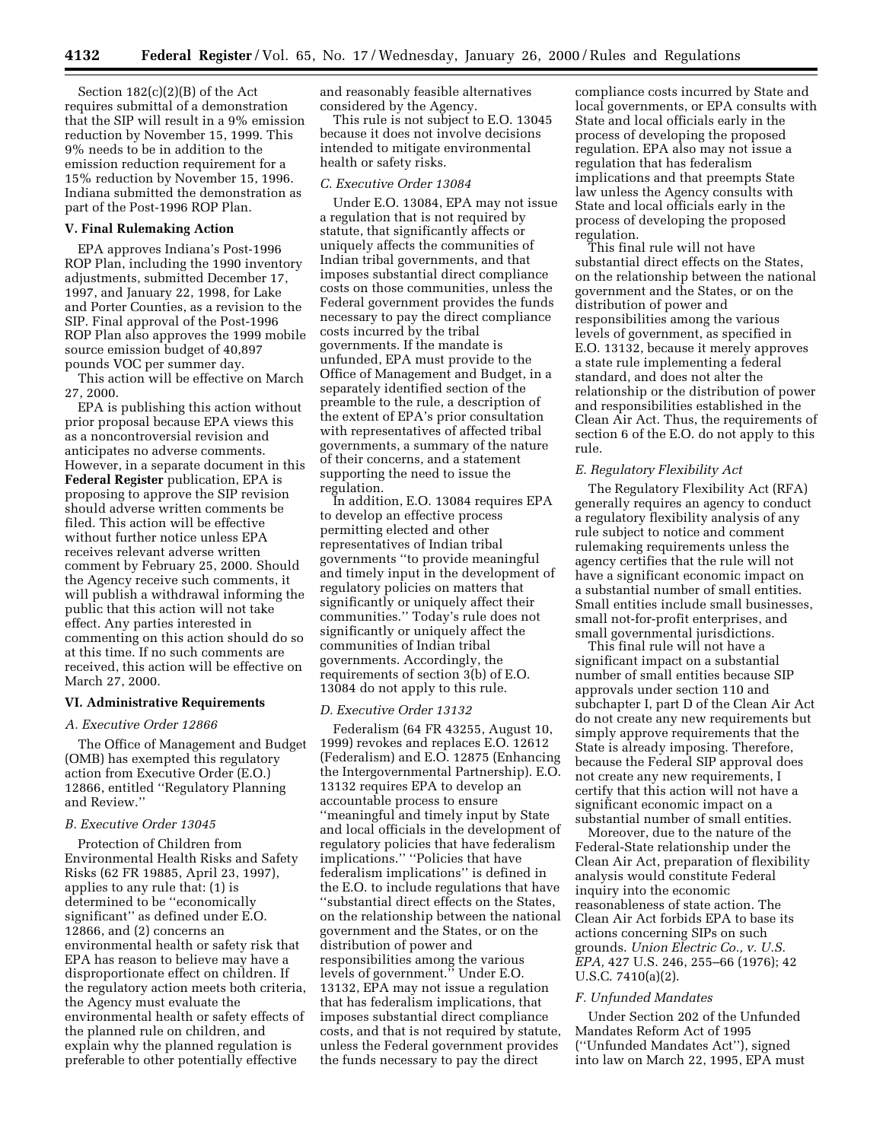Section 182(c)(2)(B) of the Act requires submittal of a demonstration that the SIP will result in a 9% emission reduction by November 15, 1999. This 9% needs to be in addition to the emission reduction requirement for a 15% reduction by November 15, 1996. Indiana submitted the demonstration as part of the Post-1996 ROP Plan.

### **V. Final Rulemaking Action**

EPA approves Indiana's Post-1996 ROP Plan, including the 1990 inventory adjustments, submitted December 17, 1997, and January 22, 1998, for Lake and Porter Counties, as a revision to the SIP. Final approval of the Post-1996 ROP Plan also approves the 1999 mobile source emission budget of 40,897 pounds VOC per summer day.

This action will be effective on March 27, 2000.

EPA is publishing this action without prior proposal because EPA views this as a noncontroversial revision and anticipates no adverse comments. However, in a separate document in this **Federal Register** publication, EPA is proposing to approve the SIP revision should adverse written comments be filed. This action will be effective without further notice unless EPA receives relevant adverse written comment by February 25, 2000. Should the Agency receive such comments, it will publish a withdrawal informing the public that this action will not take effect. Any parties interested in commenting on this action should do so at this time. If no such comments are received, this action will be effective on March 27, 2000.

# **VI. Administrative Requirements**

#### *A. Executive Order 12866*

The Office of Management and Budget (OMB) has exempted this regulatory action from Executive Order (E.O.) 12866, entitled ''Regulatory Planning and Review.''

#### *B. Executive Order 13045*

Protection of Children from Environmental Health Risks and Safety Risks (62 FR 19885, April 23, 1997), applies to any rule that: (1) is determined to be ''economically significant'' as defined under E.O. 12866, and (2) concerns an environmental health or safety risk that EPA has reason to believe may have a disproportionate effect on children. If the regulatory action meets both criteria, the Agency must evaluate the environmental health or safety effects of the planned rule on children, and explain why the planned regulation is preferable to other potentially effective

and reasonably feasible alternatives considered by the Agency.

This rule is not subject to E.O. 13045 because it does not involve decisions intended to mitigate environmental health or safety risks.

### *C. Executive Order 13084*

Under E.O. 13084, EPA may not issue a regulation that is not required by statute, that significantly affects or uniquely affects the communities of Indian tribal governments, and that imposes substantial direct compliance costs on those communities, unless the Federal government provides the funds necessary to pay the direct compliance costs incurred by the tribal governments. If the mandate is unfunded, EPA must provide to the Office of Management and Budget, in a separately identified section of the preamble to the rule, a description of the extent of EPA's prior consultation with representatives of affected tribal governments, a summary of the nature of their concerns, and a statement supporting the need to issue the regulation.

In addition, E.O. 13084 requires EPA to develop an effective process permitting elected and other representatives of Indian tribal governments ''to provide meaningful and timely input in the development of regulatory policies on matters that significantly or uniquely affect their communities.'' Today's rule does not significantly or uniquely affect the communities of Indian tribal governments. Accordingly, the requirements of section 3(b) of E.O. 13084 do not apply to this rule.

### *D. Executive Order 13132*

Federalism (64 FR 43255, August 10, 1999) revokes and replaces E.O. 12612 (Federalism) and E.O. 12875 (Enhancing the Intergovernmental Partnership). E.O. 13132 requires EPA to develop an accountable process to ensure ''meaningful and timely input by State and local officials in the development of regulatory policies that have federalism implications.'' ''Policies that have federalism implications'' is defined in the E.O. to include regulations that have ''substantial direct effects on the States, on the relationship between the national government and the States, or on the distribution of power and responsibilities among the various levels of government.'' Under E.O. 13132, EPA may not issue a regulation that has federalism implications, that imposes substantial direct compliance costs, and that is not required by statute, unless the Federal government provides the funds necessary to pay the direct

compliance costs incurred by State and local governments, or EPA consults with State and local officials early in the process of developing the proposed regulation. EPA also may not issue a regulation that has federalism implications and that preempts State law unless the Agency consults with State and local officials early in the process of developing the proposed regulation.

This final rule will not have substantial direct effects on the States, on the relationship between the national government and the States, or on the distribution of power and responsibilities among the various levels of government, as specified in E.O. 13132, because it merely approves a state rule implementing a federal standard, and does not alter the relationship or the distribution of power and responsibilities established in the Clean Air Act. Thus, the requirements of section 6 of the E.O. do not apply to this rule.

#### *E. Regulatory Flexibility Act*

The Regulatory Flexibility Act (RFA) generally requires an agency to conduct a regulatory flexibility analysis of any rule subject to notice and comment rulemaking requirements unless the agency certifies that the rule will not have a significant economic impact on a substantial number of small entities. Small entities include small businesses, small not-for-profit enterprises, and small governmental jurisdictions.

This final rule will not have a significant impact on a substantial number of small entities because SIP approvals under section 110 and subchapter I, part D of the Clean Air Act do not create any new requirements but simply approve requirements that the State is already imposing. Therefore, because the Federal SIP approval does not create any new requirements, I certify that this action will not have a significant economic impact on a substantial number of small entities.

Moreover, due to the nature of the Federal-State relationship under the Clean Air Act, preparation of flexibility analysis would constitute Federal inquiry into the economic reasonableness of state action. The Clean Air Act forbids EPA to base its actions concerning SIPs on such grounds. *Union Electric Co., v. U.S. EPA,* 427 U.S. 246, 255–66 (1976); 42 U.S.C. 7410(a)(2).

#### *F. Unfunded Mandates*

Under Section 202 of the Unfunded Mandates Reform Act of 1995 (''Unfunded Mandates Act''), signed into law on March 22, 1995, EPA must